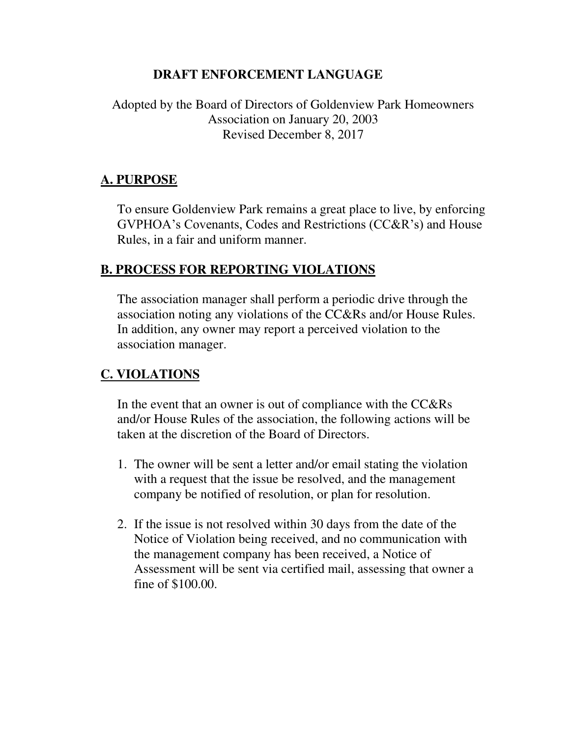### **DRAFT ENFORCEMENT LANGUAGE**

# Adopted by the Board of Directors of Goldenview Park Homeowners Association on January 20, 2003 Revised December 8, 2017

## **A. PURPOSE**

To ensure Goldenview Park remains a great place to live, by enforcing GVPHOA's Covenants, Codes and Restrictions (CC&R's) and House Rules, in a fair and uniform manner.

#### **B. PROCESS FOR REPORTING VIOLATIONS**

The association manager shall perform a periodic drive through the association noting any violations of the CC&Rs and/or House Rules. In addition, any owner may report a perceived violation to the association manager.

# **C. VIOLATIONS**

In the event that an owner is out of compliance with the CC&Rs and/or House Rules of the association, the following actions will be taken at the discretion of the Board of Directors.

- 1. The owner will be sent a letter and/or email stating the violation with a request that the issue be resolved, and the management company be notified of resolution, or plan for resolution.
- 2. If the issue is not resolved within 30 days from the date of the Notice of Violation being received, and no communication with the management company has been received, a Notice of Assessment will be sent via certified mail, assessing that owner a fine of \$100.00.